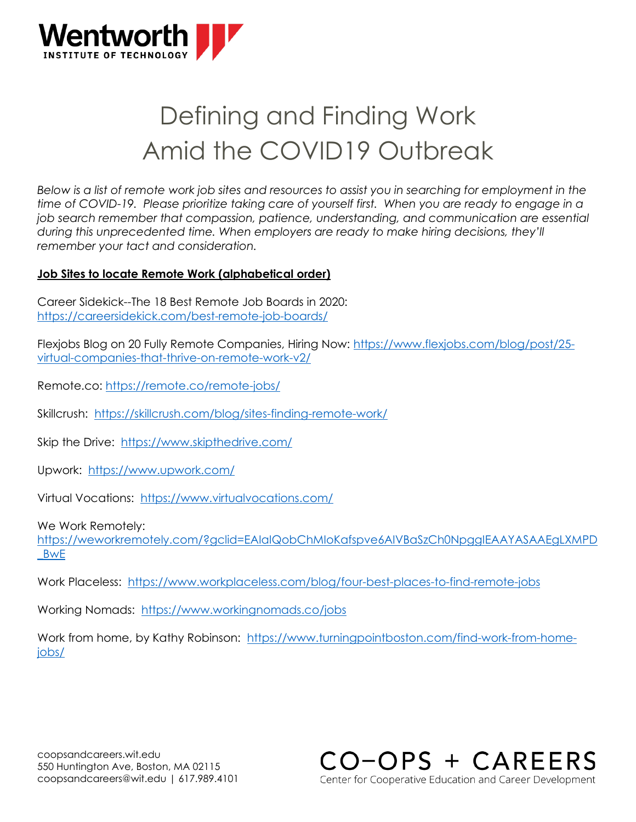

## Defining and Finding Work Amid the COVID19 Outbreak

*Below is a list of remote work job sites and resources to assist you in searching for employment in the time of COVID-19. Please prioritize taking care of yourself first. When you are ready to engage in a job search remember that compassion, patience, understanding, and communication are essential during this unprecedented time. When employers are ready to make hiring decisions, they'll remember your tact and consideration.* 

## **Job Sites to locate Remote Work (alphabetical order)**

Career Sidekick--The 18 Best Remote Job Boards in 2020: <https://careersidekick.com/best-remote-job-boards/>

Flexjobs Blog on 20 Fully Remote Companies, Hiring Now: [https://www.flexjobs.com/blog/post/25](https://www.flexjobs.com/blog/post/25-virtual-companies-that-thrive-on-remote-work-v2/) [virtual-companies-that-thrive-on-remote-work-v2/](https://www.flexjobs.com/blog/post/25-virtual-companies-that-thrive-on-remote-work-v2/)

Remote.co:<https://remote.co/remote-jobs/>

Skillcrush: <https://skillcrush.com/blog/sites-finding-remote-work/>

Skip the Drive: <https://www.skipthedrive.com/>

Upwork: <https://www.upwork.com/>

Virtual Vocations:<https://www.virtualvocations.com/>

We Work Remotely:

[https://weworkremotely.com/?gclid=EAIaIQobChMIoKafspve6AIVBaSzCh0NpggIEAAYASAAEgLXMPD](https://weworkremotely.com/?gclid=EAIaIQobChMIoKafspve6AIVBaSzCh0NpggIEAAYASAAEgLXMPD_BwE) [\\_BwE](https://weworkremotely.com/?gclid=EAIaIQobChMIoKafspve6AIVBaSzCh0NpggIEAAYASAAEgLXMPD_BwE)

Work Placeless: <https://www.workplaceless.com/blog/four-best-places-to-find-remote-jobs>

Working Nomads: <https://www.workingnomads.co/jobs>

Work from home, by Kathy Robinson: [https://www.turningpointboston.com/find-work-from-home](https://www.turningpointboston.com/find-work-from-home-jobs/)[jobs/](https://www.turningpointboston.com/find-work-from-home-jobs/)

CO-OPS + CAREERS Center for Cooperative Education and Career Development